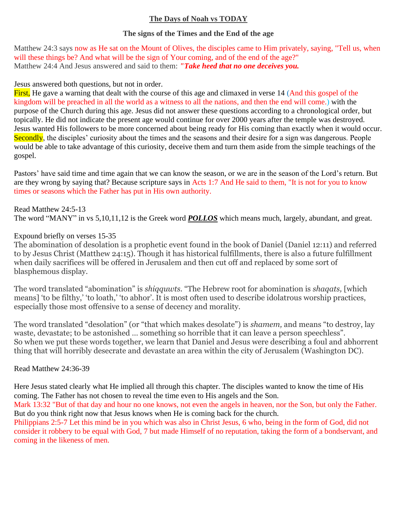# **The Days of Noah vs TODAY**

### **The signs of the Times and the End of the age**

Matthew 24:3 says now as He sat on the Mount of Olives, the disciples came to Him privately, saying, "Tell us, when will these things be? And what will be the sign of Your coming, and of the end of the age?" Matthew 24:4 And Jesus answered and said to them: *"Take heed that no one deceives you.*

### Jesus answered both questions, but not in order.

First, He gave a warning that dealt with the course of this age and climaxed in verse 14 (And this gospel of the kingdom will be preached in all the world as a witness to all the nations, and then the end will come.) with the purpose of the Church during this age. Jesus did not answer these questions according to a chronological order, but topically. He did not indicate the present age would continue for over 2000 years after the temple was destroyed. Jesus wanted His followers to be more concerned about being ready for His coming than exactly when it would occur. Secondly, the disciples' curiosity about the times and the seasons and their desire for a sign was dangerous. People would be able to take advantage of this curiosity, deceive them and turn them aside from the simple teachings of the gospel.

Pastors' have said time and time again that we can know the season, or we are in the season of the Lord's return. But are they wrong by saying that? Because scripture says in Acts 1:7 And He said to them, "It is not for you to know times or seasons which the Father has put in His own authority.

Read Matthew 24:5-13 The word "MANY" in vs 5,10,11,12 is the Greek word *POLLOS* which means much, largely, abundant, and great.

# Expound briefly on verses 15-35

The abomination of desolation is a prophetic event found in the book of Daniel (Daniel 12:11) and referred to by Jesus Christ (Matthew 24:15). Though it has historical fulfillments, there is also a future fulfillment when daily sacrifices will be offered in Jerusalem and then cut off and replaced by some sort of blasphemous display.

The word translated "abomination" is *shiqquwts.* "The Hebrew root for abomination is *shaqats,* [which means] 'to be filthy,' 'to loath,' 'to abhor'. It is most often used to describe idolatrous worship practices, especially those most offensive to a sense of decency and morality.

The word translated "desolation" (or "that which makes desolate") is *shamem,* and means "to destroy, lay waste, devastate; to be astonished … something so horrible that it can leave a person speechless". So when we put these words together, we learn that Daniel and Jesus were describing a foul and abhorrent thing that will horribly desecrate and devastate an area within the city of Jerusalem (Washington DC).

# Read Matthew 24:36-39

Here Jesus stated clearly what He implied all through this chapter. The disciples wanted to know the time of His coming. The Father has not chosen to reveal the time even to His angels and the Son.

Mark 13:32 "But of that day and hour no one knows, not even the angels in heaven, nor the Son, but only the Father. But do you think right now that Jesus knows when He is coming back for the church.

Philippians 2:5-7 Let this mind be in you which was also in Christ Jesus, 6 who, being in the form of God, did not consider it robbery to be equal with God, 7 but made Himself of no reputation, taking the form of a bondservant, and coming in the likeness of men.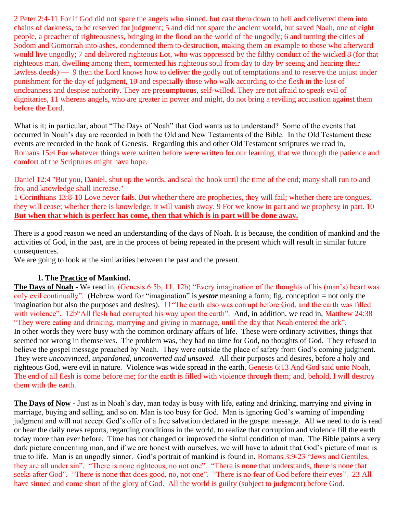2 Peter 2:4-11 For if God did not spare the angels who sinned, but cast them down to hell and delivered them into chains of darkness, to be reserved for judgment; 5 and did not spare the ancient world, but saved Noah, one of eight people, a preacher of righteousness, bringing in the flood on the world of the ungodly; 6 and turning the cities of Sodom and Gomorrah into ashes, condemned them to destruction, making them an example to those who afterward would live ungodly; 7 and delivered righteous Lot, who was oppressed by the filthy conduct of the wicked 8 (for that righteous man, dwelling among them, tormented his righteous soul from day to day by seeing and hearing their lawless deeds) — 9 then the Lord knows how to deliver the godly out of temptations and to reserve the unjust under punishment for the day of judgment, 10 and especially those who walk according to the flesh in the lust of uncleanness and despise authority. They are presumptuous, self-willed. They are not afraid to speak evil of dignitaries, 11 whereas angels, who are greater in power and might, do not bring a reviling accusation against them before the Lord.

What is it; in particular, about "The Days of Noah" that God wants us to understand? Some of the events that occurred in Noah's day are recorded in both the Old and New Testaments of the Bible. In the Old Testament these events are recorded in the book of Genesis. Regarding this and other Old Testament scriptures we read in, Romans 15:4 For whatever things were written before were written for our learning, that we through the patience and comfort of the Scriptures might have hope.

Daniel 12:4 "But you, Daniel, shut up the words, and seal the book until the time of the end; many shall run to and fro, and knowledge shall increase."

1 Corinthians 13:8-10 Love never fails. But whether there are prophecies, they will fail; whether there are tongues, they will cease; whether there is knowledge, it will vanish away. 9 For we know in part and we prophesy in part. 10 **But when that which is perfect has come, then that which is in part will be done away.**

There is a good reason we need an understanding of the days of Noah. It is because, the condition of mankind and the activities of God, in the past, are in the process of being repeated in the present which will result in similar future consequences.

We are going to look at the similarities between the past and the present.

# **1. The Practice of Mankind.**

**The Days of Noah** - We read in, (Genesis 6:5b, 11, 12b) "Every imagination of the thoughts of his (man's) heart was only evil continually". (Hebrew word for "imagination" is *yestor* meaning a form; fig. conception = not only the imagination but also the purposes and desires). 11"The earth also was corrupt before God, and the earth was filled with violence". 12b"All flesh had corrupted his way upon the earth". And, in addition, we read in, Matthew 24:38 "They were eating and drinking, marrying and giving in marriage, until the day that Noah entered the ark". In other words they were busy with the common ordinary affairs of life. These were ordinary activities, things that seemed not wrong in themselves. The problem was, they had no time for God, no thoughts of God. They refused to believe the gospel message preached by Noah. They were outside the place of safety from God's coming judgment. They were *unconvinced, unpardoned, unconverted and unsaved.* All their purposes and desires, before a holy and righteous God, were evil in nature. Violence was wide spread in the earth. Genesis 6:13 And God said unto Noah, The end of all flesh is come before me; for the earth is filled with violence through them; and, behold, I will destroy them with the earth.

**The Days of Now -** Just as in Noah's day, man today is busy with life, eating and drinking, marrying and giving in marriage, buying and selling, and so on. Man is too busy for God. Man is ignoring God's warning of impending judgment and will not accept God's offer of a free salvation declared in the gospel message. All we need to do is read or hear the daily news reports, regarding conditions in the world, to realize that corruption and violence fill the earth today more than ever before. Time has not changed or improved the sinful condition of man. The Bible paints a very dark picture concerning man, and if we are honest with ourselves, we will have to admit that God's picture of man is true to life. Man is an ungodly sinner. God's portrait of mankind is found in, Romans 3:9-23 "Jews and Gentiles, they are all under sin". "There is none righteous, no not one". "There is none that understands, there is none that seeks after God". "There is none that does good, no, not one". "There is no fear of God before their eyes". 23 All have sinned and come short of the glory of God. All the world is guilty (subject to judgment) before God.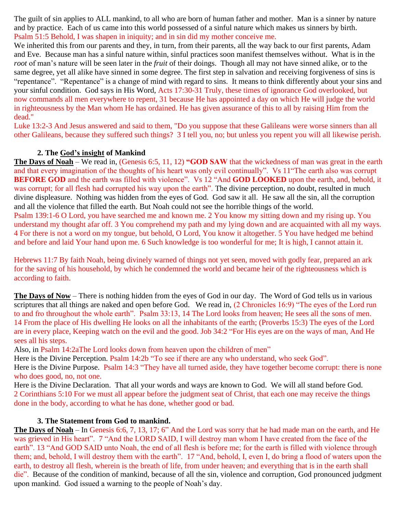The guilt of sin applies to ALL mankind, to all who are born of human father and mother. Man is a sinner by nature and by practice. Each of us came into this world possessed of a sinful nature which makes us sinners by birth. Psalm 51:5 Behold, I was shapen in iniquity; and in sin did my mother conceive me.

We inherited this from our parents and they, in turn, from their parents, all the way back to our first parents, Adam and Eve. Because man has a sinful nature within, sinful practices soon manifest themselves without. What is in the *root* of man's nature will be seen later in the *fruit* of their doings. Though all may not have sinned alike, or to the same degree, yet all alike have sinned in some degree. The first step in salvation and receiving forgiveness of sins is "repentance". "Repentance" is a change of mind with regard to sins. It means to think differently about your sins and your sinful condition. God says in His Word, Acts 17:30-31 Truly, these times of ignorance God overlooked, but now commands all men everywhere to repent, 31 because He has appointed a day on which He will judge the world in righteousness by the Man whom He has ordained. He has given assurance of this to all by raising Him from the dead."

Luke 13:2-3 And Jesus answered and said to them, "Do you suppose that these Galileans were worse sinners than all other Galileans, because they suffered such things? 3 I tell you, no; but unless you repent you will all likewise perish.

### **2. The God's insight of Mankind**

**The Days of Noah** – We read in, (Genesis 6:5, 11, 12) **"GOD SAW** that the wickedness of man was great in the earth and that every imagination of the thoughts of his heart was only evil continually". Vs 11"The earth also was corrupt **BEFORE GOD** and the earth was filled with violence". Vs 12 "And **GOD LOOKED** upon the earth, and, behold, it was corrupt; for all flesh had corrupted his way upon the earth". The divine perception, no doubt, resulted in much divine displeasure. Nothing was hidden from the eyes of God. God saw it all. He saw all the sin, all the corruption and all the violence that filled the earth. But Noah could not see the horrible things of the world.

Psalm 139:1-6 O Lord, you have searched me and known me. 2 You know my sitting down and my rising up. You understand my thought afar off. 3 You comprehend my path and my lying down and are acquainted with all my ways. 4 For there is not a word on my tongue, but behold, O Lord, You know it altogether. 5 You have hedged me behind and before and laid Your hand upon me. 6 Such knowledge is too wonderful for me; It is high, I cannot attain it.

Hebrews 11:7 By faith Noah, being divinely warned of things not yet seen, moved with godly fear, prepared an ark for the saving of his household, by which he condemned the world and became heir of the righteousness which is according to faith.

**The Days of Now** – There is nothing hidden from the eyes of God in our day. The Word of God tells us in various scriptures that all things are naked and open before God. We read in, (2 Chronicles 16:9) "The eyes of the Lord run to and fro throughout the whole earth". Psalm 33:13, 14 The Lord looks from heaven; He sees all the sons of men. 14 From the place of His dwelling He looks on all the inhabitants of the earth; (Proverbs 15:3) The eyes of the Lord are in every place, Keeping watch on the evil and the good. Job 34:2 "For His eyes are on the ways of man, And He sees all his steps.

Also, in Psalm 14:2aThe Lord looks down from heaven upon the children of men"

Here is the Divine Perception. Psalm 14:2b "To see if there are any who understand, who seek God".

Here is the Divine Purpose. Psalm 14:3 "They have all turned aside, they have together become corrupt: there is none who does good, no, not one.

Here is the Divine Declaration. That all your words and ways are known to God. We will all stand before God. 2 Corinthians 5:10 For we must all appear before the judgment seat of Christ, that each one may receive the things done in the body, according to what he has done, whether good or bad.

#### **3. The Statement from God to mankind.**

**The Days of Noah** – In Genesis 6:6, 7, 13, 17; 6" And the Lord was sorry that he had made man on the earth, and He was grieved in His heart". 7 "And the LORD SAID, I will destroy man whom I have created from the face of the earth". 13 "And GOD SAID unto Noah, the end of all flesh is before me; for the earth is filled with violence through them; and, behold, I will destroy them with the earth". 17 "And, behold, I, even I, do bring a flood of waters upon the earth, to destroy all flesh, wherein is the breath of life, from under heaven; and everything that is in the earth shall die". Because of the condition of mankind, because of all the sin, violence and corruption, God pronounced judgment upon mankind. God issued a warning to the people of Noah's day.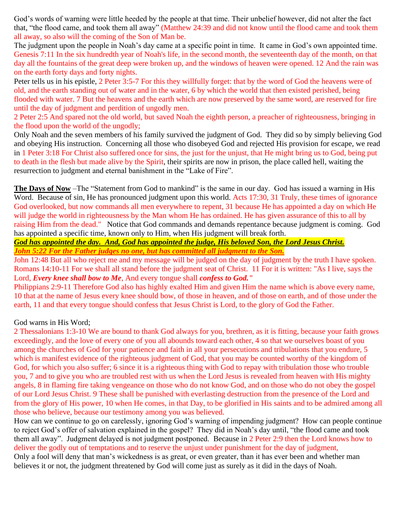God's words of warning were little heeded by the people at that time. Their unbelief however, did not alter the fact that, "the flood came, and took them all away" (Matthew 24:39 and did not know until the flood came and took them all away, so also will the coming of the Son of Man be.

The judgment upon the people in Noah's day came at a specific point in time. It came in God's own appointed time. Genesis 7:11 In the six hundredth year of Noah's life, in the second month, the seventeenth day of the month, on that day all the fountains of the great deep were broken up, and the windows of heaven were opened. 12 And the rain was on the earth forty days and forty nights.

Peter tells us in his epistle, 2 Peter 3:5-7 For this they willfully forget: that by the word of God the heavens were of old, and the earth standing out of water and in the water, 6 by which the world that then existed perished, being flooded with water. 7 But the heavens and the earth which are now preserved by the same word, are reserved for fire until the day of judgment and perdition of ungodly men.

2 Peter 2:5 And spared not the old world, but saved Noah the eighth person, a preacher of righteousness, bringing in the flood upon the world of the ungodly;

Only Noah and the seven members of his family survived the judgment of God. They did so by simply believing God and obeying His instruction. Concerning all those who disobeyed God and rejected His provision for escape, we read in 1 Peter 3:18 For Christ also suffered once for sins, the just for the unjust, that He might bring us to God, being put to death in the flesh but made alive by the Spirit, their spirits are now in prison, the place called hell, waiting the resurrection to judgment and eternal banishment in the "Lake of Fire".

**The Days of Now** –The "Statement from God to mankind" is the same in our day. God has issued a warning in His Word. Because of sin, He has pronounced judgment upon this world. Acts 17:30, 31 Truly, these times of ignorance God overlooked, but now commands all men everywhere to repent, 31 because He has appointed a day on which He will judge the world in righteousness by the Man whom He has ordained. He has given assurance of this to all by raising Him from the dead." Notice that God commands and demands repentance because judgment is coming. God has appointed a specific time, known only to Him, when His judgment will break forth.

*God has appointed the day. And, God has appointed the judge, His beloved Son, the Lord Jesus Christ. John 5:22 For the Father judges no one, but has committed all judgment to the Son.*

John 12:48 But all who reject me and my message will be judged on the day of judgment by the truth I have spoken. Romans 14:10-11 For we shall all stand before the judgment seat of Christ. 11 For it is written: "As I live, says the Lord, *Every knee shall bow to Me*, And every tongue shall *confess to God."*

Philippians 2:9-11 Therefore God also has highly exalted Him and given Him the name which is above every name, 10 that at the name of Jesus every knee should bow, of those in heaven, and of those on earth, and of those under the earth, 11 and that every tongue should confess that Jesus Christ is Lord, to the glory of God the Father.

# God warns in His Word;

2 Thessalonians 1:3-10 We are bound to thank God always for you, brethren, as it is fitting, because your faith grows exceedingly, and the love of every one of you all abounds toward each other, 4 so that we ourselves boast of you among the churches of God for your patience and faith in all your persecutions and tribulations that you endure, 5 which is manifest evidence of the righteous judgment of God, that you may be counted worthy of the kingdom of God, for which you also suffer; 6 since it is a righteous thing with God to repay with tribulation those who trouble you, 7 and to give you who are troubled rest with us when the Lord Jesus is revealed from heaven with His mighty angels, 8 in flaming fire taking vengeance on those who do not know God, and on those who do not obey the gospel of our Lord Jesus Christ. 9 These shall be punished with everlasting destruction from the presence of the Lord and from the glory of His power, 10 when He comes, in that Day, to be glorified in His saints and to be admired among all those who believe, because our testimony among you was believed.

How can we continue to go on carelessly, ignoring God's warning of impending judgment? How can people continue to reject God's offer of salvation explained in the gospel? They did in Noah's day until, "the flood came and took them all away". Judgment delayed is not judgment postponed. Because in 2 Peter 2:9 then the Lord knows how to deliver the godly out of temptations and to reserve the unjust under punishment for the day of judgment, Only a fool will deny that man's wickedness is as great, or even greater, than it has ever been and whether man believes it or not, the judgment threatened by God will come just as surely as it did in the days of Noah.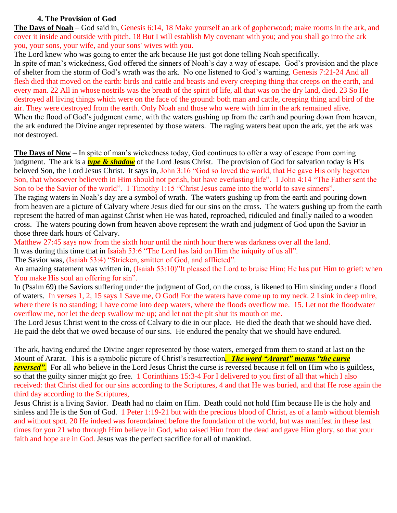### **4. The Provision of God**

**The Days of Noah** – God said in, Genesis 6:14, 18 Make yourself an ark of gopherwood; make rooms in the ark, and cover it inside and outside with pitch. 18 But I will establish My covenant with you; and you shall go into the ark you, your sons, your wife, and your sons' wives with you.

The Lord knew who was going to enter the ark because He just got done telling Noah specifically. In spite of man's wickedness, God offered the sinners of Noah's day a way of escape. God's provision and the place of shelter from the storm of God's wrath was the ark. No one listened to God's warning. Genesis 7:21-24 And all flesh died that moved on the earth: birds and cattle and beasts and every creeping thing that creeps on the earth, and every man. 22 All in whose nostrils was the breath of the spirit of life, all that was on the dry land, died. 23 So He destroyed all living things which were on the face of the ground: both man and cattle, creeping thing and bird of the air. They were destroyed from the earth. Only Noah and those who were with him in the ark remained alive. When the flood of God's judgment came, with the waters gushing up from the earth and pouring down from heaven, the ark endured the Divine anger represented by those waters. The raging waters beat upon the ark, yet the ark was not destroyed.

**The Days of Now** – In spite of man's wickedness today, God continues to offer a way of escape from coming judgment. The ark is a *type & shadow* of the Lord Jesus Christ. The provision of God for salvation today is His beloved Son, the Lord Jesus Christ. It says in, John 3:16 "God so loved the world, that He gave His only begotten Son, that whosoever believeth in Him should not perish, but have everlasting life". 1 John 4:14 "The Father sent the Son to be the Savior of the world". 1 Timothy 1:15 "Christ Jesus came into the world to save sinners".

The raging waters in Noah's day are a symbol of wrath. The waters gushing up from the earth and pouring down from heaven are a picture of Calvary where Jesus died for our sins on the cross. The waters gushing up from the earth represent the hatred of man against Christ when He was hated, reproached, ridiculed and finally nailed to a wooden cross. The waters pouring down from heaven above represent the wrath and judgment of God upon the Savior in those three dark hours of Calvary.

Matthew 27:45 says now from the sixth hour until the ninth hour there was darkness over all the land.

It was during this time that in Isaiah 53:6 "The Lord has laid on Him the iniquity of us all".

The Savior was, (Isaiah 53:4) "Stricken, smitten of God, and afflicted".

An amazing statement was written in, (Isaiah 53:10)"It pleased the Lord to bruise Him; He has put Him to grief: when You make His soul an offering for sin".

In (Psalm 69) the Saviors suffering under the judgment of God, on the cross, is likened to Him sinking under a flood of waters. In verses 1, 2, 15 says 1 Save me, O God! For the waters have come up to my neck. 2 I sink in deep mire, where there is no standing; I have come into deep waters, where the floods overflow me. 15. Let not the floodwater overflow me, nor let the deep swallow me up; and let not the pit shut its mouth on me.

The Lord Jesus Christ went to the cross of Calvary to die in our place. He died the death that we should have died. He paid the debt that we owed because of our sins. He endured the penalty that we should have endured.

The ark, having endured the Divine anger represented by those waters, emerged from them to stand at last on the Mount of Ararat. This is a symbolic picture of Christ's resurrection*. The word "Ararat" means "the curse reversed*". For all who believe in the Lord Jesus Christ the curse is reversed because it fell on Him who is guiltless, so that the guilty sinner might go free. 1 Corinthians 15:3-4 For I delivered to you first of all that which I also received: that Christ died for our sins according to the Scriptures, 4 and that He was buried, and that He rose again the third day according to the Scriptures,

Jesus Christ is a living Savior. Death had no claim on Him. Death could not hold Him because He is the holy and sinless and He is the Son of God. 1 Peter 1:19-21 but with the precious blood of Christ, as of a lamb without blemish and without spot. 20 He indeed was foreordained before the foundation of the world, but was manifest in these last times for you 21 who through Him believe in God, who raised Him from the dead and gave Him glory, so that your faith and hope are in God. Jesus was the perfect sacrifice for all of mankind.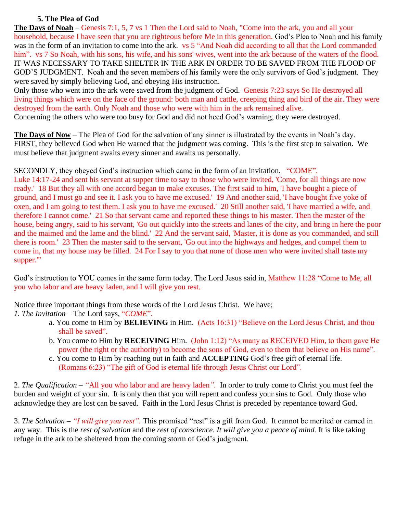### **5. The Plea of God**

**The Days of Noah** – Genesis 7:1, 5, 7 vs 1 Then the Lord said to Noah, "Come into the ark, you and all your household, because I have seen that you are righteous before Me in this generation. God's Plea to Noah and his family was in the form of an invitation to come into the ark. vs 5 "And Noah did according to all that the Lord commanded him". vs 7 So Noah, with his sons, his wife, and his sons' wives, went into the ark because of the waters of the flood. IT WAS NECESSARY TO TAKE SHELTER IN THE ARK IN ORDER TO BE SAVED FROM THE FLOOD OF GOD'S JUDGMENT. Noah and the seven members of his family were the only survivors of God's judgment. They were saved by simply believing God, and obeying His instruction.

Only those who went into the ark were saved from the judgment of God. Genesis 7:23 says So He destroyed all living things which were on the face of the ground: both man and cattle, creeping thing and bird of the air. They were destroyed from the earth. Only Noah and those who were with him in the ark remained alive. Concerning the others who were too busy for God and did not heed God's warning, they were destroyed.

**The Days of Now** – The Plea of God for the salvation of any sinner is illustrated by the events in Noah's day. FIRST, they believed God when He warned that the judgment was coming. This is the first step to salvation. We must believe that judgment awaits every sinner and awaits us personally.

SECONDLY, they obeyed God's instruction which came in the form of an invitation. "COME". Luke 14:17-24 and sent his servant at supper time to say to those who were invited, 'Come, for all things are now ready.' 18 But they all with one accord began to make excuses. The first said to him, 'I have bought a piece of ground, and I must go and see it. I ask you to have me excused.' 19 And another said, 'I have bought five yoke of oxen, and I am going to test them. I ask you to have me excused.' 20 Still another said, 'I have married a wife, and therefore I cannot come.' 21 So that servant came and reported these things to his master. Then the master of the house, being angry, said to his servant, 'Go out quickly into the streets and lanes of the city, and bring in here the poor and the maimed and the lame and the blind.' 22 And the servant said, 'Master, it is done as you commanded, and still there is room.' 23 Then the master said to the servant, 'Go out into the highways and hedges, and compel them to come in, that my house may be filled. 24 For I say to you that none of those men who were invited shall taste my supper.'"

God's instruction to YOU comes in the same form today. The Lord Jesus said in, Matthew 11:28 "Come to Me, all you who labor and are heavy laden, and I will give you rest.

Notice three important things from these words of the Lord Jesus Christ. We have;

*1. The Invitation –* The Lord says, "*COME*".

- a. You come to Him by **BELIEVING** in Him. (Acts 16:31) "Believe on the Lord Jesus Christ, and thou shall be saved".
- b. You come to Him by **RECEIVING** Him. (John 1:12) "As many as RECEIVED Him, to them gave He power (the right or the authority) to become the sons of God, even to them that believe on His name".
- c. You come to Him by reaching out in faith and **ACCEPTING** God's free gift of eternal life. (Romans 6:23) "The gift of God is eternal life through Jesus Christ our Lord".

2. *The Qualification – "*All you who labor and are heavy laden*".* In order to truly come to Christ you must feel the burden and weight of your sin. It is only then that you will repent and confess your sins to God. Only those who acknowledge they are lost can be saved. Faith in the Lord Jesus Christ is preceded by repentance toward God.

3. *The Salvation – "I will give you rest".* This promised "rest" is a gift from God. It cannot be merited or earned in any way. This is the *rest of salvation* and the *rest of conscience. It will give you a peace of mind.* It is like taking refuge in the ark to be sheltered from the coming storm of God's judgment.